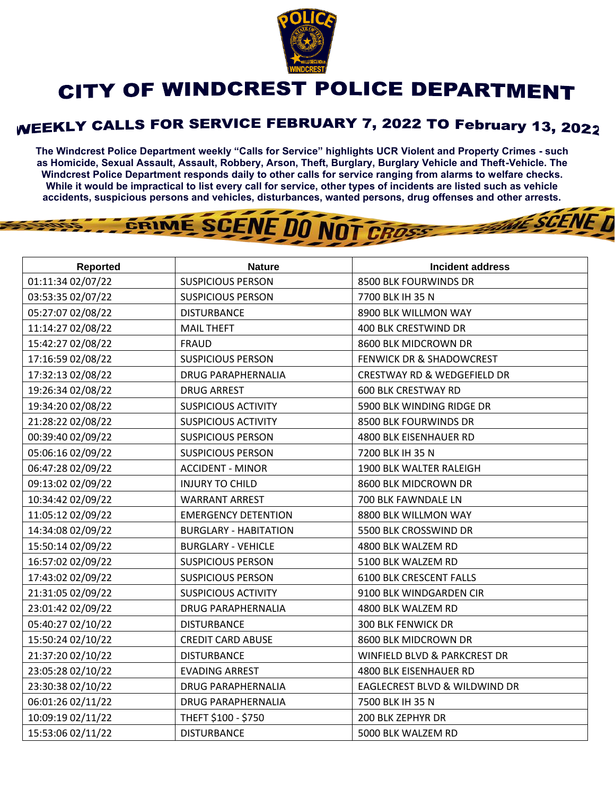

## **CITY OF WINDCREST POLICE DEPARTMENT**

## WEEKLY CALLS FOR SERVICE FEBRUARY 7, 2022 TO February 13, 2022

**The Windcrest Police Department weekly "Calls for Service" highlights UCR Violent and Property Crimes - such as Homicide, Sexual Assault, Assault, Robbery, Arson, Theft, Burglary, Burglary Vehicle and Theft-Vehicle. The Windcrest Police Department responds daily to other calls for service ranging from alarms to welfare checks. While it would be impractical to list every call for service, other types of incidents are listed such as vehicle accidents, suspicious persons and vehicles, disturbances, wanted persons, drug offenses and other arrests.** 

**THE SCENE D** 

## GRIME SCENE DO NOT CROSS

| <b>Reported</b>   | <b>Nature</b>                | <b>Incident address</b>                |
|-------------------|------------------------------|----------------------------------------|
| 01:11:34 02/07/22 | <b>SUSPICIOUS PERSON</b>     | 8500 BLK FOURWINDS DR                  |
| 03:53:35 02/07/22 | <b>SUSPICIOUS PERSON</b>     | 7700 BLK IH 35 N                       |
| 05:27:07 02/08/22 | <b>DISTURBANCE</b>           | 8900 BLK WILLMON WAY                   |
| 11:14:27 02/08/22 | <b>MAIL THEFT</b>            | 400 BLK CRESTWIND DR                   |
| 15:42:27 02/08/22 | <b>FRAUD</b>                 | 8600 BLK MIDCROWN DR                   |
| 17:16:59 02/08/22 | <b>SUSPICIOUS PERSON</b>     | FENWICK DR & SHADOWCREST               |
| 17:32:13 02/08/22 | <b>DRUG PARAPHERNALIA</b>    | <b>CRESTWAY RD &amp; WEDGEFIELD DR</b> |
| 19:26:34 02/08/22 | <b>DRUG ARREST</b>           | <b>600 BLK CRESTWAY RD</b>             |
| 19:34:20 02/08/22 | <b>SUSPICIOUS ACTIVITY</b>   | 5900 BLK WINDING RIDGE DR              |
| 21:28:22 02/08/22 | <b>SUSPICIOUS ACTIVITY</b>   | 8500 BLK FOURWINDS DR                  |
| 00:39:40 02/09/22 | <b>SUSPICIOUS PERSON</b>     | 4800 BLK EISENHAUER RD                 |
| 05:06:16 02/09/22 | <b>SUSPICIOUS PERSON</b>     | 7200 BLK IH 35 N                       |
| 06:47:28 02/09/22 | <b>ACCIDENT - MINOR</b>      | 1900 BLK WALTER RALEIGH                |
| 09:13:02 02/09/22 | <b>INJURY TO CHILD</b>       | 8600 BLK MIDCROWN DR                   |
| 10:34:42 02/09/22 | <b>WARRANT ARREST</b>        | 700 BLK FAWNDALE LN                    |
| 11:05:12 02/09/22 | <b>EMERGENCY DETENTION</b>   | 8800 BLK WILLMON WAY                   |
| 14:34:08 02/09/22 | <b>BURGLARY - HABITATION</b> | 5500 BLK CROSSWIND DR                  |
| 15:50:14 02/09/22 | <b>BURGLARY - VEHICLE</b>    | 4800 BLK WALZEM RD                     |
| 16:57:02 02/09/22 | <b>SUSPICIOUS PERSON</b>     | 5100 BLK WALZEM RD                     |
| 17:43:02 02/09/22 | <b>SUSPICIOUS PERSON</b>     | <b>6100 BLK CRESCENT FALLS</b>         |
| 21:31:05 02/09/22 | <b>SUSPICIOUS ACTIVITY</b>   | 9100 BLK WINDGARDEN CIR                |
| 23:01:42 02/09/22 | <b>DRUG PARAPHERNALIA</b>    | 4800 BLK WALZEM RD                     |
| 05:40:27 02/10/22 | <b>DISTURBANCE</b>           | <b>300 BLK FENWICK DR</b>              |
| 15:50:24 02/10/22 | <b>CREDIT CARD ABUSE</b>     | 8600 BLK MIDCROWN DR                   |
| 21:37:20 02/10/22 | <b>DISTURBANCE</b>           | WINFIELD BLVD & PARKCREST DR           |
| 23:05:28 02/10/22 | <b>EVADING ARREST</b>        | 4800 BLK EISENHAUER RD                 |
| 23:30:38 02/10/22 | DRUG PARAPHERNALIA           | EAGLECREST BLVD & WILDWIND DR          |
| 06:01:26 02/11/22 | <b>DRUG PARAPHERNALIA</b>    | 7500 BLK IH 35 N                       |
| 10:09:19 02/11/22 | THEFT \$100 - \$750          | 200 BLK ZEPHYR DR                      |
| 15:53:06 02/11/22 | <b>DISTURBANCE</b>           | 5000 BLK WALZEM RD                     |